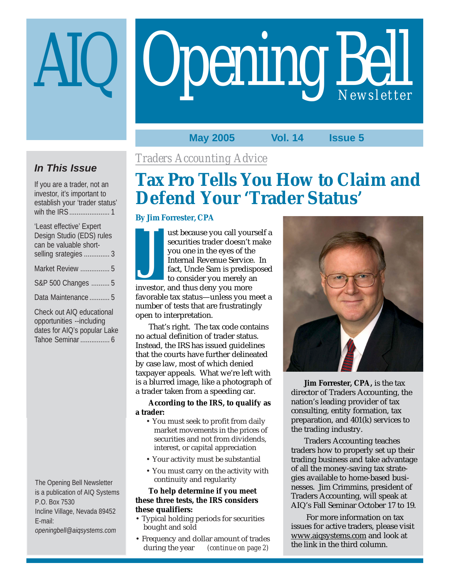# Opening Bell

#### **May 2005 Vol. 14 Issue 5**

#### **In This Issue**

If you are a trader, not an investor, it's important to establish your 'trader status' wih the IRS ...................... 1

| 'Least effective' Expert  |
|---------------------------|
| Design Studio (EDS) rules |
| can be valuable short-    |
| selling srategies  3      |
| Market Review  5          |
| S&P 500 Changes  5        |
| Data Maintenance  5       |
|                           |

Check out AIQ educational opportunities --including dates for AIQ's popular Lake Tahoe Seminar ................ 6

The Opening Bell Newsletter is a publication of AIQ Systems P.O. Box 7530 Incline Village, Nevada 89452 E-mail: *openingbell@aiqsystems.com*

#### *Traders Accounting Advice*

#### **Tax Pro Tells You How to Claim and Defend Your 'Trader Status'**

#### **By Jim Forrester, CPA**

ust because you call yourself a securities trader doesn't make you one in the eyes of the Internal Revenue Service. In fact, Uncle Sam is predisposed to consider you merely an investor, and thus deny you more favorable tax status—unless you meet a number of tests that are frustratingly open to interpretation. J

That's right. The tax code contains no actual definition of trader status. Instead, the IRS has issued guidelines that the courts have further delineated by case law, most of which denied taxpayer appeals. What we're left with is a blurred image, like a photograph of a trader taken from a speeding car.

**According to the IRS, to qualify as a trader:**

- You must seek to profit from daily market movements in the prices of securities and not from dividends, interest, or capital appreciation
- Your activity must be substantial
- You must carry on the activity with continuity and regularity

#### **To help determine if you meet these three tests, the IRS considers these qualifiers:**

- Typical holding periods for securities bought and sold
- Frequency and dollar amount of trades<br>during the year (continue on page 2) (continue on page 2)



**Jim Forrester, CPA,** is the tax director of Traders Accounting, the nation's leading provider of tax consulting, entity formation, tax preparation, and 401(k) services to the trading industry.

Traders Accounting teaches traders how to properly set up their trading business and take advantage of all the money-saving tax strategies available to home-based businesses. Jim Crimmins, president of Traders Accounting, will speak at AIQ's Fall Seminar October 17 to 19.

 For more information on tax issues for active traders, please visit www.aiqsystems.com and look at the link in the third column.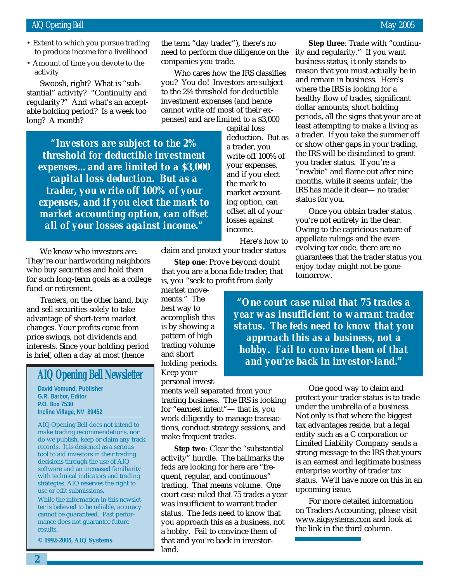- Extent to which you pursue trading to produce income for a livelihood
- March 2002 • Amount of time you devote to the activity

Swoosh, right? What is "substantial" activity? "Continuity and regularity?" And what's an acceptable holding period? Is a week too long? A month?

> *"Investors are subject to the 2% threshold for deductible investment expenses…and are limited to a \$3,000 capital loss deduction. But as a trader, you write off 100% of your expenses, and if you elect the mark to market accounting option, can offset all of your losses against income."*

We know who investors are. They're our hardworking neighbors who buy securities and hold them for such long-term goals as a college fund or retirement.

Traders, on the other hand, buy and sell securities solely to take advantage of short-term market changes. Your profits come from price swings, not dividends and interests. Since your holding period is brief, often a day at most (hence

#### **AIQ Opening Bell Newsletter**

**David Vomund, Publisher G.R. Barbor, Editor P.O. Box 7530 Incline Village, NV 89452**

AIQ Opening Bell does not intend to make trading recommendations, nor do we publish, keep or claim any track records. It is designed as a serious tool to aid investors in their trading decisions through the use of AIQ software and an increased familiarity with technical indicators and trading strategies. AIQ reserves the right to use or edit submissions.

While the information in this newsletter is believed to be reliable, accuracy cannot be guaranteed. Past performance does not guarantee future results.

**© 1992-2005, AIQ Systems**

the term "day trader"), there's no need to perform due diligence on the companies you trade.

Who cares how the IRS classifies you? You do! Investors are subject to the 2% threshold for deductible investment expenses (and hence cannot write off most of their expenses) and are limited to a \$3,000

> capital loss deduction. But as a trader, you write off 100% of your expenses, and if you elect the mark to market accounting option, can offset all of your losses against income.

> > Here's how to

claim and protect your trader status:

**Step one**: Prove beyond doubt that you are a bona fide trader; that is, you "seek to profit from daily

market movements." The best way to accomplish this is by showing a pattern of high trading volume and short holding periods. Keep your personal invest-

ments well separated from your trading business. The IRS is looking for "earnest intent"— that is, you work diligently to manage transactions, conduct strategy sessions, and make frequent trades.

**Step two**: Clear the "substantial activity" hurdle. The hallmarks the feds are looking for here are "frequent, regular, and continuous" trading. That means volume. One court case ruled that 75 trades a year was insufficient to warrant trader status. The feds need to know that you approach this as a business, not a hobby. Fail to convince them of that and you're back in investorland.

**Step three**: Trade with "continuity and regularity." If you want business status, it only stands to reason that you must actually be in and remain in business. Here's where the IRS is looking for a healthy flow of trades, significant dollar amounts, short holding periods, all the signs that your are at least attempting to make a living as a trader. If you take the summer off or show other gaps in your trading, the IRS will be disinclined to grant you trader status. If you're a "newbie" and flame out after nine months, while it seems unfair, the IRS has made it clear— no trader status for you.

Once you obtain trader status, you're not entirely in the clear. Owing to the capricious nature of appellate rulings and the everevolving tax code, there are no guarantees that the trader status you enjoy today might not be gone tomorrow.

*"One court case ruled that 75 trades a year was insufficient to warrant trader status. The feds need to know that you approach this as a business, not a hobby. Fail to convince them of that and you're back in investor-land."*

> One good way to claim and protect your trader status is to trade under the umbrella of a business. Not only is that where the biggest tax advantages reside, but a legal entity such as a C corporation or Limited Liability Company sends a strong message to the IRS that yours is an earnest and legitimate business enterprise worthy of trader tax status. We'll have more on this in an upcoming issue.

For more detailed information on Traders Accounting, please visit www.aiqsystems.com and look at the link in the third column.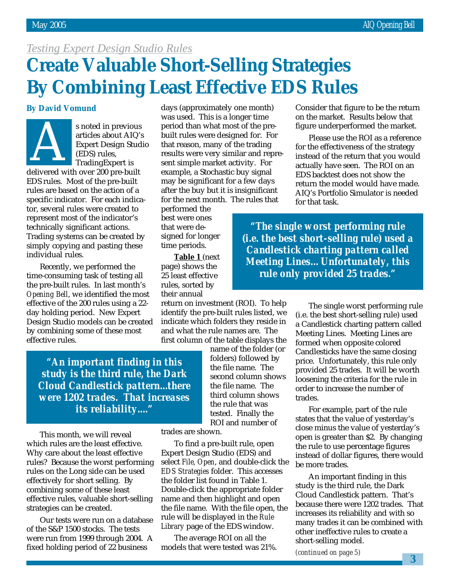#### *Testing Expert Design Studio Rules*

#### **Create Valuable Short-Selling Strategies By Combining Least Effective EDS Rules**

#### **By David Vomund**



s noted in previous articles about AIQ's Expert Design Studio (EDS) rules, TradingExpert is s noted in previous<br>
articles about AIQ'<br>
Expert Design Stude<br>
(EDS) rules,<br>
TradingExpert is<br>
delivered with over 200 pre-built

EDS rules. Most of the pre-built rules are based on the action of a specific indicator. For each indicator, several rules were created to represent most of the indicator's technically significant actions. Trading systems can be created by simply copying and pasting these individual rules.

Recently, we performed the time-consuming task of testing all the pre-built rules. In last month's *Opening Bell*, we identified the most effective of the 200 rules using a 22 day holding period. New Expert Design Studio models can be created by combining some of these most effective rules.

days (approximately one month) was used. This is a longer time period than what most of the prebuilt rules were designed for. For that reason, many of the trading results were very similar and represent simple market activity. For example, a Stochastic buy signal may be significant for a few days after the buy but it is insignificant for the next month. The rules that

performed the best were ones that were designed for longer time periods.

**Table 1** (next page) shows the 25 least effective rules, sorted by their annual

return on investment (ROI). To help identify the pre-built rules listed, we indicate which folders they reside in and what the rule names are. The first column of the table displays the

*"An important finding in this study is the third rule, the Dark Cloud Candlestick pattern...there were 1202 trades. That increases its reliability...."*

This month, we will reveal which rules are the least effective. Why care about the least effective rules? Because the worst performing rules on the Long side can be used effectively for short selling. By combining some of these least effective rules, valuable short-selling strategies can be created.

Our tests were run on a database of the S&P 1500 stocks. The tests were run from 1999 through 2004. A fixed holding period of 22 business

name of the folder (or folders) followed by the file name. The second column shows the file name. The third column shows the rule that was tested. Finally the ROI and number of

trades are shown.

To find a pre-built rule, open Expert Design Studio (EDS) and select *File, Open*, and double-click the *EDS Strategies* folder. This accesses the folder list found in Table 1. Double-click the appropriate folder name and then highlight and open the file name. With the file open, the rule will be displayed in the *Rule Library* page of the EDS window.

The average ROI on all the models that were tested was 21%. Consider that figure to be the return on the market. Results below that figure underperformed the market.

Please use the ROI as a reference for the effectiveness of the strategy instead of the return that you would actually have seen. The ROI on an EDS backtest does not show the return the model would have made. AIQ's Portfolio Simulator is needed for that task.

*"The single worst performing rule (i.e. the best short-selling rule) used a Candlestick charting pattern called Meeting Lines…Unfortunately, this rule only provided 25 trades."*

> The single worst performing rule (i.e. the best short-selling rule) used a Candlestick charting pattern called Meeting Lines. Meeting Lines are formed when opposite colored Candlesticks have the same closing price. Unfortunately, this rule only provided 25 trades. It will be worth loosening the criteria for the rule in order to increase the number of trades.

> For example, part of the rule states that the value of yesterday's close minus the value of yesterday's open is greater than \$2. By changing the rule to use percentage figures instead of dollar figures, there would be more trades.

> An important finding in this study is the third rule, the Dark Cloud Candlestick pattern. That's because there were 1202 trades. That increases its reliability and with so many trades it can be combined with other ineffective rules to create a short-selling model.

*(continued on page 5)*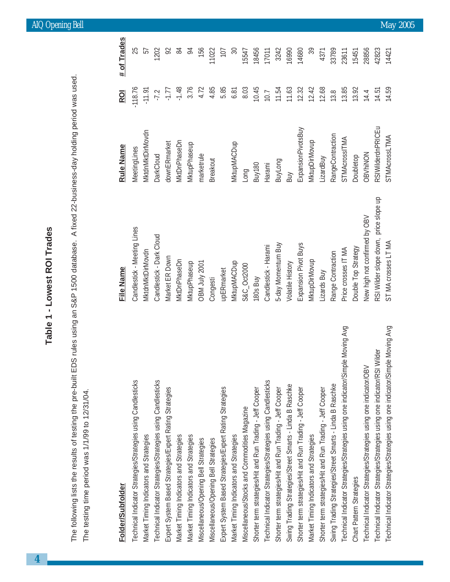$\vec{D}$ The following lists the results of testing the pre-built EDS rules using an S&P 1500 database. A fixed 22-business-day holding period was used. The testing time period was 1/1/99 to 12/31/04. The testing time period was 1/1/99 to 12/31/04.

## Folder/Subfolder

| Technical Indicator Strategies/Strategies using Candlesticks                    | Candlestick - Meeting Lines           | MeetingLines             | $-118.76$ | 25                |
|---------------------------------------------------------------------------------|---------------------------------------|--------------------------|-----------|-------------------|
| Market Timing Indicators and Strategies                                         | MktdnMktDirMovdn                      | MktdnMktDirMovdn         | $-11.91$  | 57                |
| Technical Indicator Strategies/Strategies using Candlesticks                    | Candlestick - Dark Cloud              | <b>DarkCloud</b>         | $-7.2$    | 1202              |
| Expert System Based Strategies/Expert Rating Strategies                         | Market ER Down                        | downERmarket             | $-1.77$   | 92                |
| Market Timing Indicators and Strategies                                         | MktDnPhaseDn                          | MktDnPhaseDn             | $-1.48$   | 84                |
| Market Timing Indicators and Strategies                                         | MktupPhaseup                          | MktupPhaseup             | 3.76      | 94                |
| Miscellaneous/Opening Bell Strategies                                           | <b>CBM July 2001</b>                  | marketrule               | 4.72      | 156               |
| Miscellaneous/Opening Bell Strategies                                           | Congesti                              | Breakout                 | 4.85      | 11022             |
| Expert System Based Strategies/Expert Rating Strategies                         | upERmarket                            |                          | 5.85      | 107               |
| Market Timing Indicators and Strategies                                         | MktupMACDup                           | MktupMACDup              | 6.81      | $\boldsymbol{50}$ |
| Viiscellaneous/Stocks and Commodities Magazine                                  | S&C_Oct2000                           | Long                     | 8.03      | 15547             |
| Shorter term strategies/Hit and Run Trading - Jeff Cooper                       | 180s Buy                              | Buy180                   | 10.45     | 18456             |
| Technical Indicator Strategies/Strategies using Candlesticks                    | Candlestick - Harami                  | Harami                   | 10.7      | 17011             |
| Shorter term strategies/Hit and Run Trading - Jeff Cooper                       | 5-day Momentum Buy                    | BuyLong                  | 11.54     | 3242              |
| Swing Trading Strategies/Street Smarts - Linda B Raschke                        | Volatile History                      | Buy                      | 11.63     | 16990             |
| Shorter term strategies/Hit and Run Trading - Jeff Cooper                       | Expansion Pivot Buys                  | ExpansionPivotsBuy       | 12.32     | 14680             |
| Market Timing Indicators and Strategies                                         | MktupDirMovup                         | MktupDirMovup            | 12.42     | 39                |
| Shorter term strategies/Hit and Run Trading - Jeff Cooper                       | Lizards Buy                           | LizardBuy                | 12.68     | 4371              |
| Swing Trading Strategies/Street Smarts - Linda B Raschke                        | Range Contraction                     | RangeContraction         | 13.8      | 33789             |
| Technical Indicator Strategies/Strategies using one indicator/Simple Moving Avg | Price crosses IT MA                   | <b>STMAcrossITMA</b>     | 13.85     | 23611             |
| Chart Pattern Strategies                                                        | Double Top Strategy                   | Doubletop                | 13.92     | 15451             |
| Technical Indicator Strategies/Strategies using one indicator/OBV               | New high not confirmed by OBV         | OBVhiNON                 | 14.4      | 28856             |
| Technical Indicator Strategies/Strategies using one indicator/RSI Wilder        | RSI Wilder slope down, price slope up | <b>RSIWilderdnPRICEu</b> | 14.51     | 42823             |
| Technical Indicator Strategies/Strategies using one indicator/Simple Moving Avg | ST MA crosses LT MA                   | STMAcrossLTMA            | 14.59     | 14421             |

### ш

| Folder/Subfolder                                                                | File Name                             | <b>Rule Name</b>         | <b>ROI</b> | # of Trades |
|---------------------------------------------------------------------------------|---------------------------------------|--------------------------|------------|-------------|
| Technical Indicator Strategies/Strategies using Candlesticks                    | Candlestick - Meeting Lines           | MeetingLines             | $-118.76$  | 25          |
| Market Timing Indicators and Strategies                                         | MktdnMktDirMovdn                      | MktdnMktDirMovdn         | $-11.91$   | 57          |
| Technical Indicator Strategies/Strategies using Candlesticks                    | Candlestick - Dark Cloud              | <b>DarkCloud</b>         | $-7.2$     | 1202        |
| Expert System Based Strategies/Expert Rating Strategies                         | Market ER Down                        | downERmarket             | $-1.77$    | 92          |
| Market Timing Indicators and Strategies                                         | <b>MktDnPhaseDn</b>                   | <b>MktDnPhaseDn</b>      | $-1.48$    | 84          |
| Market Timing Indicators and Strategies                                         | MktupPhaseup                          | MktupPhaseup             | 3.76       | 54          |
| Miscellaneous/Opening Bell Strategies                                           | 1002 VInr NBO                         | marketrule               | 4.72       | 156         |
| Miscellaneous/Opening Bell Strategies                                           | Congesti                              | Breakout                 | 4.85       | 11022       |
| Expert System Based Strategies/Expert Rating Strategies                         | upERmarket                            |                          | 5.85       | 107         |
| Market Timing Indicators and Strategies                                         | MktupMACDup                           | MktupMACDup              | 6.81       | Z           |
| Miscellaneous/Stocks and Commodities Magazine                                   | S&C_Oct2000                           | Long                     | 8.03       | 15547       |
| Shorter term strategies/Hit and Run Trading - Jeff Cooper                       | 180s Buy                              | Buy <sub>180</sub>       | 10.45      | 18456       |
| Technical Indicator Strategies/Strategies using Candlesticks                    | Candlestick - Harami                  | Harami                   | 10.7       | 17011       |
| Shorter term strategies/Hit and Run Trading - Jeff Cooper                       | 5-day Momentum Buy                    | BuyLong                  | 11.54      | 3242        |
| Swing Trading Strategies/Street Smarts - Linda B Raschke                        | Volatile History                      | Buy                      | 11.63      | 16990       |
| Shorter term strategies/Hit and Run Trading - Jeff Cooper                       | Expansion Pivot Buys                  | ExpansionPivotsBuy       | 12.32      | 14680       |
| Market Timing Indicators and Strategies                                         | MktupDirMovup                         | MktupDirMovup            | 12.42      | 39          |
| Shorter term strategies/Hit and Run Trading - Jeff Cooper                       | Lizards Buy                           | LizardBuy                | 12.68      | 4371        |
| Swing Trading Strategies/Street Smarts - Linda B Raschke                        | Range Contraction                     | RangeContraction         | 13.8       | 33789       |
| Technical Indicator Strategies/Strategies using one indicator/Simple Moving Avg | Price crosses IT MA                   | <b>STMAcrossITMA</b>     | 13.85      | 23611       |
| Chart Pattern Strategies                                                        | Double Top Strategy                   | Doubletop                | 13.92      | 15451       |
| Technical Indicator Strategies/Strategies using one indicator/OBV               | New high not confirmed by OBV         | <b>OBVhiNON</b>          | 14.4       | 28856       |
| Technical Indicator Strategies/Strategies using one indicator/RSI Wilder        | RSI Wilder slope down, price slope up | <b>RSIWilderdnPRICEu</b> | 14.51      | 42823       |
| Technical Indicator Strategies/Strategies using one indicator/Simple Moving Avg | ST MA crosses LT MA                   | STMAcrossLTMA            | 14.59      | 14421       |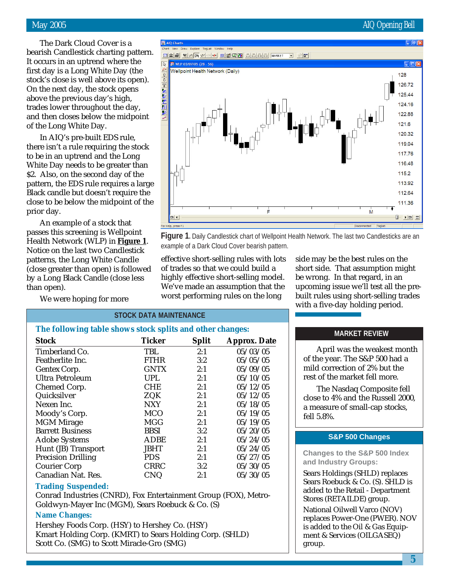The Dark Cloud Cover is a bearish Candlestick charting pattern. It occurs in an uptrend where the first day is a Long White Day (the stock's close is well above its open). On the next day, the stock opens above the previous day's high, trades lower throughout the day, and then closes below the midpoint of the Long White Day.

In AIQ's pre-built EDS rule, there isn't a rule requiring the stock to be in an uptrend and the Long White Day needs to be greater than \$2. Also, on the second day of the pattern, the EDS rule requires a large Black candle but doesn't require the close to be below the midpoint of the prior day.

An example of a stock that passes this screening is Wellpoint Health Network (WLP) in **Figure 1**. Notice on the last two Candlestick patterns, the Long White Candle (close greater than open) is followed by a Long Black Candle (close less than open).

We were hoping for more



**Figure 1.** Daily Candlestick chart of Wellpoint Health Network. The last two Candlesticks are an example of a Dark Cloud Cover bearish pattern.

effective short-selling rules with lots of trades so that we could build a highly effective short-selling model. We've made an assumption that the worst performing rules on the long

side may be the best rules on the short side. That assumption might be wrong. In that regard, in an upcoming issue we'll test all the prebuilt rules using short-selling trades with a five-day holding period.

| <b>STOCK DATA MAINTENANCE</b>                             |               |              |                     |  |
|-----------------------------------------------------------|---------------|--------------|---------------------|--|
| The following table shows stock splits and other changes: |               |              |                     |  |
| <b>Stock</b>                                              | <b>Ticker</b> | <b>Split</b> | <b>Approx. Date</b> |  |
| Timberland Co.                                            | TBL           | 2:1          | 05/03/05            |  |
| Featherlite Inc.                                          | <b>FTHR</b>   | 3:2          | 05/05/05            |  |
| Gentex Corp.                                              | <b>GNTX</b>   | 2:1          | 05/09/05            |  |
| <b>Ultra Petroleum</b>                                    | <b>UPL</b>    | 2:1          | 05/10/05            |  |
| Chemed Corp.                                              | <b>CHE</b>    | 2:1          | 05/12/05            |  |
| Quicksilver                                               | ZQK           | 2:1          | 05/12/05            |  |
| Nexen Inc.                                                | <b>NXY</b>    | 2:1          | 05/18/05            |  |
| Moody's Corp.                                             | <b>MCO</b>    | 2:1          | 05/19/05            |  |
| <b>MGM</b> Mirage                                         | MGG           | 2:1          | 05/19/05            |  |
| <b>Barrett Business</b>                                   | BBSI          | 3:2          | 05/20/05            |  |
| <b>Adobe Systems</b>                                      | ADBE          | 2:1          | 05/24/05            |  |
| Hunt (JB) Transport                                       | <b>JBHT</b>   | 2:1          | 05/24/05            |  |
| <b>Precision Drilling</b>                                 | <b>PDS</b>    | 2:1          | 05/27/05            |  |
| <b>Courier Corp</b>                                       | <b>CRRC</b>   | 3:2          | 05/30/05            |  |
| Canadian Nat. Res.                                        | <b>CNQ</b>    | 2:1          | 05/30/05            |  |

#### **Trading Suspended:**

Conrad Industries (CNRD), Fox Entertainment Group (FOX), Metro-Goldwyn-Mayer Inc (MGM), Sears Roebuck & Co. (S)

#### **Name Changes:**

Hershey Foods Corp. (HSY) to Hershey Co. (HSY) Kmart Holding Corp. (KMRT) to Sears Holding Corp. (SHLD) Scott Co. (SMG) to Scott Miracle-Gro (SMG)

#### **MARKET REVIEW**

April was the weakest month of the year. The S&P 500 had a mild correction of 2% but the rest of the market fell more.

The Nasdaq Composite fell close to 4% and the Russell 2000, a measure of small-cap stocks, fell 5.8%.

#### **S&P 500 Changes**

**Changes to the S&P 500 Index and Industry Groups:**

Sears Holdings (SHLD) replaces Sears Roebuck & Co. (S). SHLD is added to the Retail - Department Stores (RETAILDE) group.

National Oilwell Varco (NOV) replaces Power-One (PWER). NOV is added to the Oil & Gas Equipment & Services (OILGASEQ) group.

#### May 2005 AIQ Opening Bell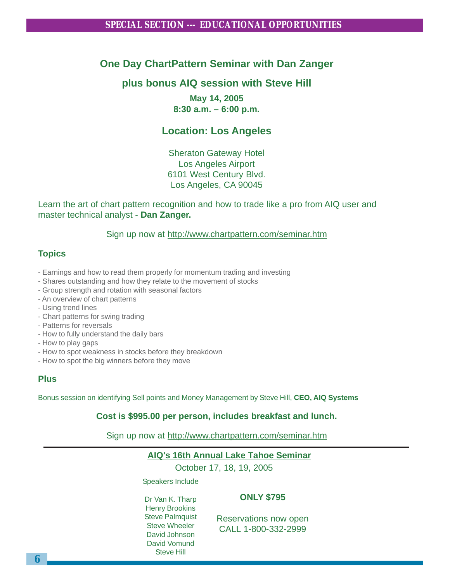#### **One Day ChartPattern Seminar with Dan Zanger**

#### **plus bonus AIQ session with Steve Hill**

**May 14, 2005 8:30 a.m. – 6:00 p.m.**

#### **Location: Los Angeles**

Sheraton Gateway Hotel Los Angeles Airport 6101 West Century Blvd. Los Angeles, CA 90045

Learn the art of chart pattern recognition and how to trade like a pro from AIQ user and master technical analyst - **Dan Zanger.**

Sign up now at http://www.chartpattern.com/seminar.htm

#### **Topics**

- Earnings and how to read them properly for momentum trading and investing
- Shares outstanding and how they relate to the movement of stocks
- Group strength and rotation with seasonal factors
- An overview of chart patterns
- Using trend lines
- Chart patterns for swing trading
- Patterns for reversals
- How to fully understand the daily bars
- How to play gaps
- How to spot weakness in stocks before they breakdown
- How to spot the big winners before they move

#### **Plus**

Bonus session on identifying Sell points and Money Management by Steve Hill, **CEO, AIQ Systems**

**Cost is \$995.00 per person, includes breakfast and lunch.**

Sign up now at http://www.chartpattern.com/seminar.htm

#### **AIQ's 16th Annual Lake Tahoe Seminar**

October 17, 18, 19, 2005

Speakers Include

#### **ONLY \$795**

Dr Van K. Tharp Henry Brookins Steve Palmquist Steve Wheeler David Johnson David Vomund Steve Hill

Reservations now open CALL 1-800-332-2999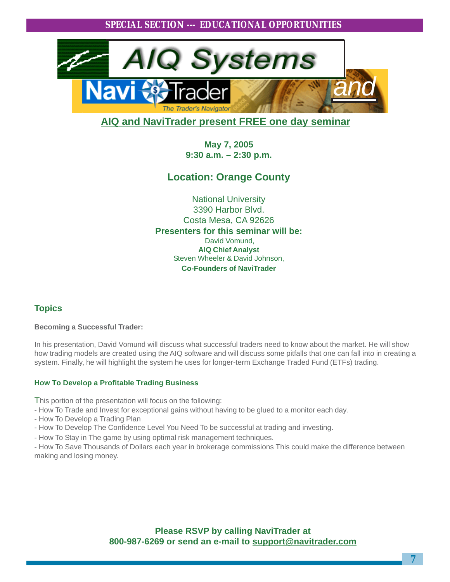

#### **AIQ and NaviTrader present FREE one day seminar**

**May 7, 2005 9:30 a.m. – 2:30 p.m.**

#### **Location: Orange County**

National University 3390 Harbor Blvd. Costa Mesa, CA 92626 **Presenters for this seminar will be:** David Vomund, **AIQ Chief Analyst** Steven Wheeler & David Johnson, **Co-Founders of NaviTrader**

#### **Topics**

#### **Becoming a Successful Trader:**

In his presentation, David Vomund will discuss what successful traders need to know about the market. He will show how trading models are created using the AIQ software and will discuss some pitfalls that one can fall into in creating a system. Finally, he will highlight the system he uses for longer-term Exchange Traded Fund (ETFs) trading. **p**

#### **How To Develop a Profitable Trading Business**

This portion of the presentation will focus on the following:

- How To Trade and Invest for exceptional gains without having to be glued to a monitor each day.
- How To Develop a Trading Plan
- How To Develop The Confidence Level You Need To be successful at trading and investing.
- How To Stay in The game by using optimal risk management techniques.

- How To Save Thousands of Dollars each year in brokerage commissions This could make the difference between making and losing money.

> **Please RSVP by calling NaviTrader at 800-987-6269 or send an e-mail to support@navitrader.com**